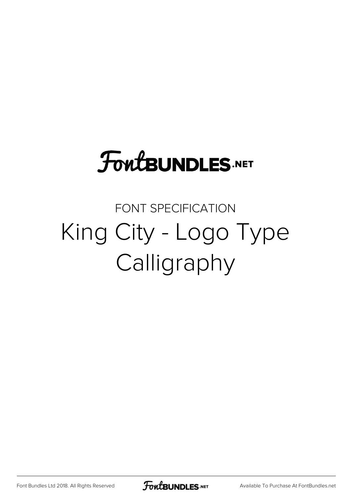## **FoutBUNDLES.NET**

## FONT SPECIFICATION King City - Logo Type Calligraphy

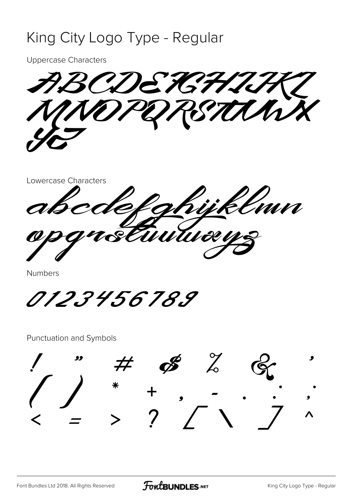## King City Logo Type - Regular

**Uppercase Characters** 

REDEKTHU In

Lowercase Characters mn wtu

Numbers

*0123456789* 

Punctuation and Symbols

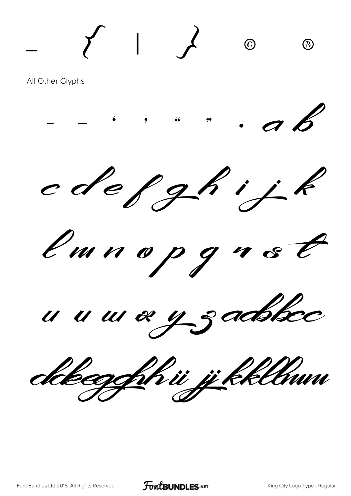All Other Glyphs



 $\left\{\begin{array}{ccc} & | & f & \odot & \odot \\ & | & f & \odot & \odot \end{array}\right.$ 

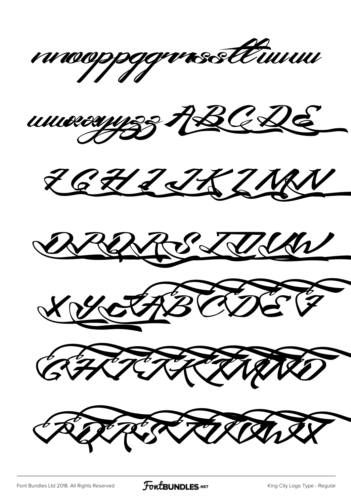











REPRIENDER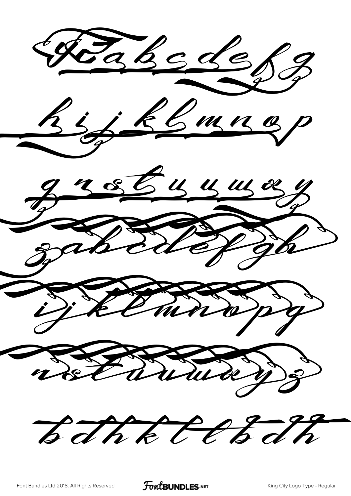